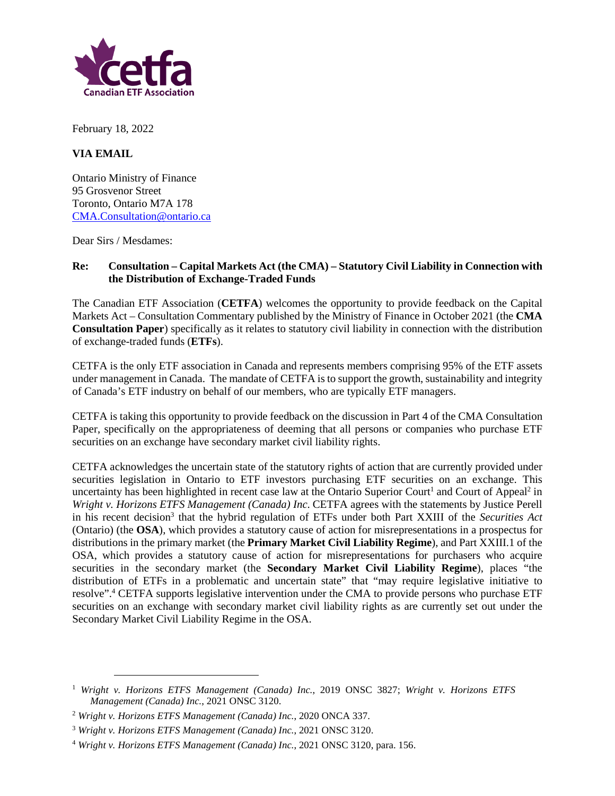

February 18, 2022

## **VIA EMAIL**

Ontario Ministry of Finance 95 Grosvenor Street Toronto, Ontario M7A 178 CMA.Consultation@ontario.ca

Dear Sirs / Mesdames:

## **Re: Consultation – Capital Markets Act (the CMA) – Statutory Civil Liability in Connection with the Distribution of Exchange-Traded Funds**

The Canadian ETF Association (**CETFA**) welcomes the opportunity to provide feedback on the Capital Markets Act – Consultation Commentary published by the Ministry of Finance in October 2021 (the **CMA Consultation Paper**) specifically as it relates to statutory civil liability in connection with the distribution of exchange-traded funds (**ETFs**).

CETFA is the only ETF association in Canada and represents members comprising 95% of the ETF assets under management in Canada. The mandate of CETFA is to support the growth, sustainability and integrity of Canada's ETF industry on behalf of our members, who are typically ETF managers.

CETFA is taking this opportunity to provide feedback on the discussion in Part 4 of the CMA Consultation Paper, specifically on the appropriateness of deeming that all persons or companies who purchase ETF securities on an exchange have secondary market civil liability rights.

CETFA acknowledges the uncertain state of the statutory rights of action that are currently provided under securities legislation in Ontario to ETF investors purchasing ETF securities on an exchange. This uncertainty has been highlighted in recent case law at the Ontario Superior Court<sup>1</sup> and Court of Appeal<sup>2</sup> in *Wright v. Horizons ETFS Management (Canada) Inc*. CETFA agrees with the statements by Justice Perell in his recent decision<sup>3</sup> that the hybrid regulation of ETFs under both Part XXIII of the *Securities Act* (Ontario) (the **OSA**), which provides a statutory cause of action for misrepresentations in a prospectus for distributions in the primary market (the **Primary Market Civil Liability Regime**), and Part XXIII.1 of the OSA, which provides a statutory cause of action for misrepresentations for purchasers who acquire securities in the secondary market (the **Secondary Market Civil Liability Regime**), places "the distribution of ETFs in a problematic and uncertain state" that "may require legislative initiative to resolve".<sup>4</sup> CETFA supports legislative intervention under the CMA to provide persons who purchase ETF securities on an exchange with secondary market civil liability rights as are currently set out under the Secondary Market Civil Liability Regime in the OSA.

<sup>1</sup> *Wright v. Horizons ETFS Management (Canada) Inc.*, 2019 ONSC 3827; *Wright v. Horizons ETFS Management (Canada) Inc.*, 2021 ONSC 3120.

<sup>2</sup> *Wright v. Horizons ETFS Management (Canada) Inc.*, 2020 ONCA 337.

<sup>3</sup> *Wright v. Horizons ETFS Management (Canada) Inc.*, 2021 ONSC 3120.

<sup>4</sup> *Wright v. Horizons ETFS Management (Canada) Inc.*, 2021 ONSC 3120, para. 156.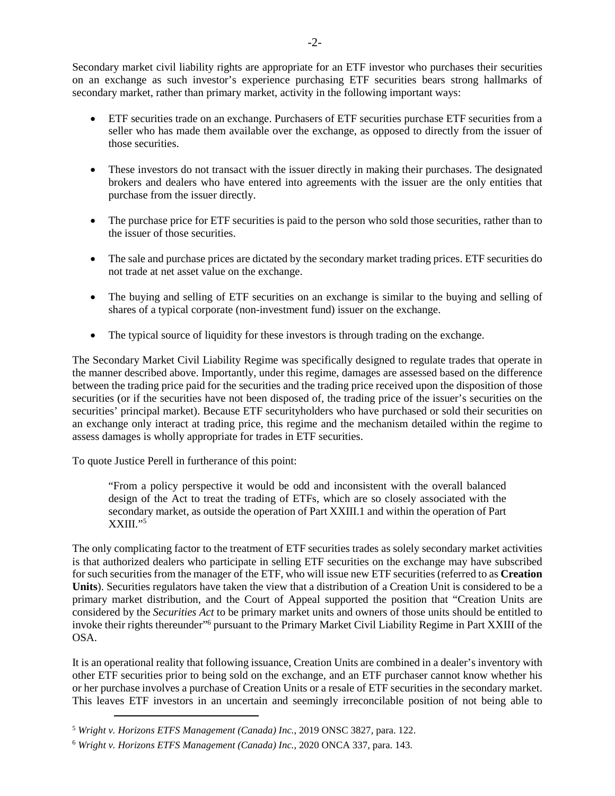Secondary market civil liability rights are appropriate for an ETF investor who purchases their securities on an exchange as such investor's experience purchasing ETF securities bears strong hallmarks of secondary market, rather than primary market, activity in the following important ways:

- ETF securities trade on an exchange. Purchasers of ETF securities purchase ETF securities from a seller who has made them available over the exchange, as opposed to directly from the issuer of those securities.
- These investors do not transact with the issuer directly in making their purchases. The designated brokers and dealers who have entered into agreements with the issuer are the only entities that purchase from the issuer directly.
- The purchase price for ETF securities is paid to the person who sold those securities, rather than to the issuer of those securities.
- The sale and purchase prices are dictated by the secondary market trading prices. ETF securities do not trade at net asset value on the exchange.
- The buying and selling of ETF securities on an exchange is similar to the buying and selling of shares of a typical corporate (non-investment fund) issuer on the exchange.
- The typical source of liquidity for these investors is through trading on the exchange.

The Secondary Market Civil Liability Regime was specifically designed to regulate trades that operate in the manner described above. Importantly, under this regime, damages are assessed based on the difference between the trading price paid for the securities and the trading price received upon the disposition of those securities (or if the securities have not been disposed of, the trading price of the issuer's securities on the securities' principal market). Because ETF securityholders who have purchased or sold their securities on an exchange only interact at trading price, this regime and the mechanism detailed within the regime to assess damages is wholly appropriate for trades in ETF securities.

To quote Justice Perell in furtherance of this point:

"From a policy perspective it would be odd and inconsistent with the overall balanced design of the Act to treat the trading of ETFs, which are so closely associated with the secondary market, as outside the operation of Part XXIII.1 and within the operation of Part  $XXIII.$ <sup>"5</sup>

The only complicating factor to the treatment of ETF securities trades as solely secondary market activities is that authorized dealers who participate in selling ETF securities on the exchange may have subscribed for such securities from the manager of the ETF, who will issue new ETF securities (referred to as **Creation Units**). Securities regulators have taken the view that a distribution of a Creation Unit is considered to be a primary market distribution, and the Court of Appeal supported the position that "Creation Units are considered by the *Securities Act* to be primary market units and owners of those units should be entitled to invoke their rights thereunder"<sup>6</sup> pursuant to the Primary Market Civil Liability Regime in Part XXIII of the OSA.

It is an operational reality that following issuance, Creation Units are combined in a dealer's inventory with other ETF securities prior to being sold on the exchange, and an ETF purchaser cannot know whether his or her purchase involves a purchase of Creation Units or a resale of ETF securities in the secondary market. This leaves ETF investors in an uncertain and seemingly irreconcilable position of not being able to

<sup>5</sup> *Wright v. Horizons ETFS Management (Canada) Inc.*, 2019 ONSC 3827, para. 122.

<sup>6</sup> *Wright v. Horizons ETFS Management (Canada) Inc.*, 2020 ONCA 337, para. 143.